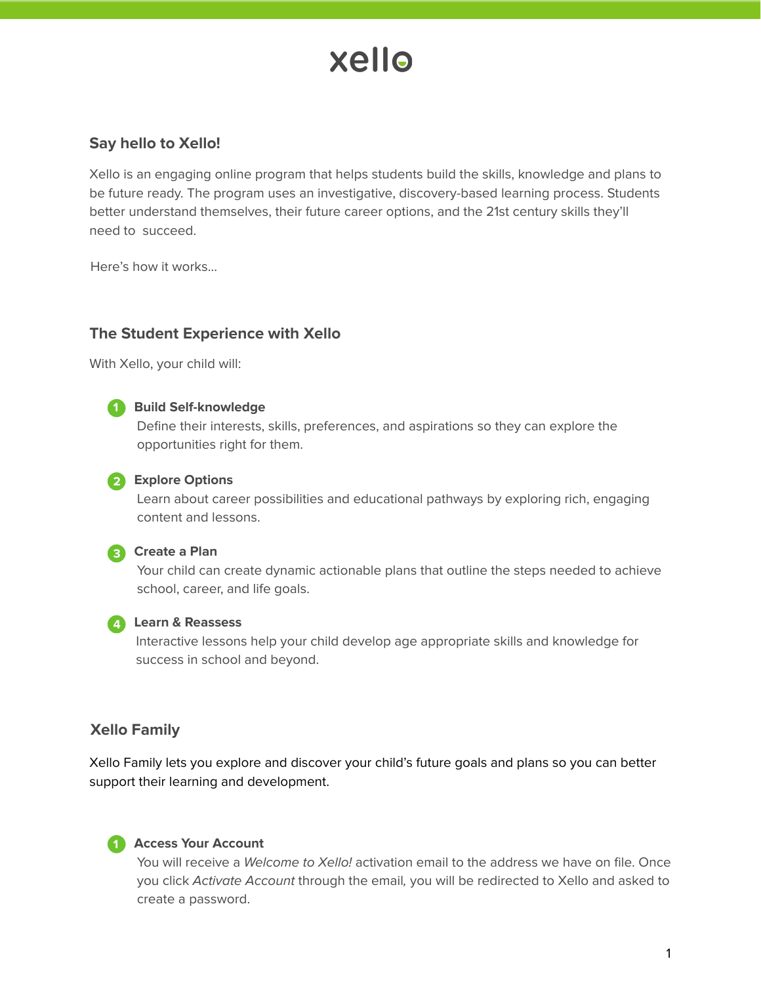# xello

# **Say hello to Xello!**

Xello is an engaging online program that helps students build the skills, knowledge and plans to be future ready. The program uses an investigative, discovery-based learning process. Students better understand themselves, their future career options, and the 21st century skills they'll need to succeed.

Here's how it works...

# **The Student Experience with Xello**

With Xello, your child will:



#### **Build Self-knowledge 1**

Define their interests, skills, preferences, and aspirations so they can explore the opportunities right for them.

### **Explore Options 12**

Learn about career possibilities and educational pathways by exploring rich, engaging content and lessons.



# **Create a Plan 13**

Your child can create dynamic actionable plans that outline the steps needed to achieve school, career, and life goals.



## **Learn & Reassess 14**

Interactive lessons help your child develop age appropriate skills and knowledge for success in school and beyond.

# **Xello Family**

Xello Family lets you explore and discover your child's future goals and plans so you can better support their learning and development.



#### **Access Your Account 11**

You will receive a Welcome to Xello! activation email to the address we have on file. Once you click Activate Account through the email, you will be redirected to Xello and asked to create a password.